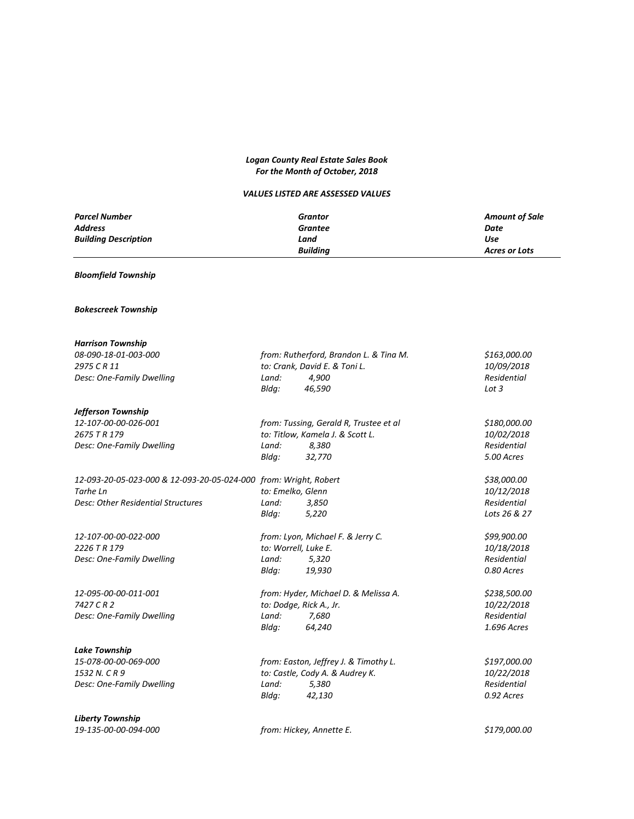## *Logan County Real Estate Sales Book For the Month of October, 2018*

## *VALUES LISTED ARE ASSESSED VALUES*

| <b>Parcel Number</b>        | Grantor         | <b>Amount of Sale</b> |
|-----------------------------|-----------------|-----------------------|
| <b>Address</b>              | Grantee         | Date                  |
| <b>Building Description</b> | Land            | Use                   |
|                             | <b>Buildina</b> | Acres or Lots         |

## *Bloomfield Township*

## *Bokescreek Township*

| <b>Harrison Township</b>                                         |                                       |                                        |                    |
|------------------------------------------------------------------|---------------------------------------|----------------------------------------|--------------------|
| 08-090-18-01-003-000                                             |                                       | from: Rutherford, Brandon L. & Tina M. | \$163,000.00       |
| 2975 CR 11                                                       |                                       | to: Crank, David E. & Toni L.          | 10/09/2018         |
| Desc: One-Family Dwelling                                        | Land:                                 | 4,900                                  | Residential        |
|                                                                  | Bldg:                                 | 46,590                                 | Lot 3              |
| Jefferson Township                                               |                                       |                                        |                    |
| 12-107-00-00-026-001                                             |                                       | from: Tussing, Gerald R, Trustee et al | \$180,000.00       |
| 2675 T R 179                                                     |                                       | to: Titlow, Kamela J. & Scott L.       | 10/02/2018         |
| Desc: One-Family Dwelling                                        | Land:                                 | 8,380                                  | <b>Residential</b> |
|                                                                  | Bldg:                                 | 32,770                                 | 5.00 Acres         |
| 12-093-20-05-023-000 & 12-093-20-05-024-000 from: Wright, Robert |                                       |                                        | \$38,000.00        |
| Tarhe Ln                                                         |                                       | to: Emelko, Glenn                      | 10/12/2018         |
| <b>Desc: Other Residential Structures</b>                        | Land:                                 | 3,850                                  | Residential        |
|                                                                  | Bldg:                                 | 5,220                                  | Lots 26 & 27       |
| 12-107-00-00-022-000                                             |                                       | from: Lyon, Michael F. & Jerry C.      | \$99,900.00        |
| 2226 T R 179                                                     | to: Worrell, Luke E.                  |                                        | 10/18/2018         |
| Desc: One-Family Dwelling                                        | Land:                                 | 5,320                                  | Residential        |
|                                                                  | Bldg:                                 | 19,930                                 | 0.80 Acres         |
| 12-095-00-00-011-001                                             | from: Hyder, Michael D. & Melissa A.  |                                        | \$238,500.00       |
| 7427 C R 2                                                       |                                       | to: Dodge, Rick A., Jr.                | 10/22/2018         |
| Desc: One-Family Dwelling                                        | Land:                                 | 7,680                                  | Residential        |
|                                                                  | Bldg:                                 | 64,240                                 | 1.696 Acres        |
| <b>Lake Township</b>                                             |                                       |                                        |                    |
| 15-078-00-00-069-000                                             | from: Easton, Jeffrey J. & Timothy L. |                                        | \$197,000.00       |
| 1532 N. C R 9                                                    | to: Castle, Cody A. & Audrey K.       |                                        | 10/22/2018         |
| Desc: One-Family Dwelling                                        | Land:                                 | 5,380                                  | Residential        |
|                                                                  | Bldg:                                 | 42,130                                 | 0.92 Acres         |
| <b>Liberty Township</b>                                          |                                       |                                        |                    |
| 19-135-00-00-094-000                                             |                                       | from: Hickey, Annette E.               | \$179,000.00       |

*19-135-00-00-094-000 from: Hickey, Annette E. \$179,000.00*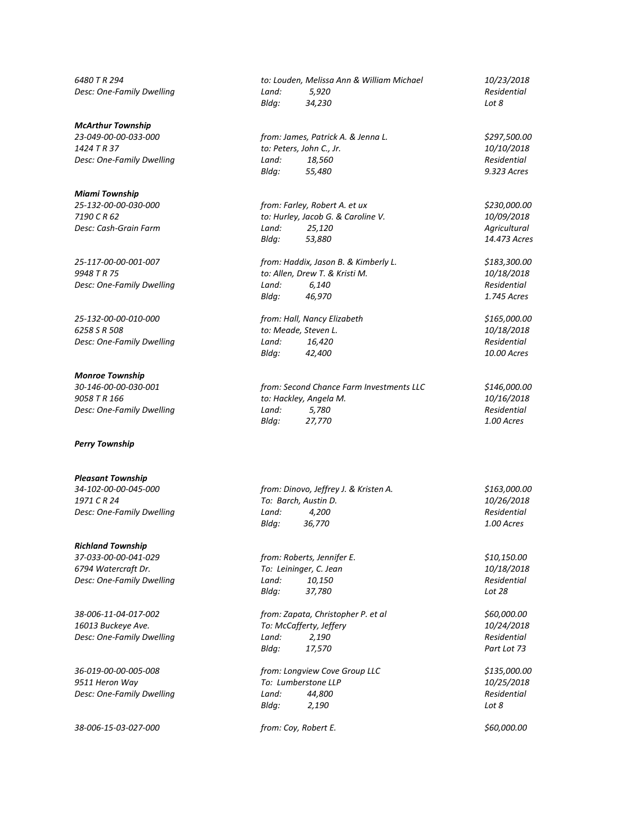#### *McArthur Township*

#### *Miami Township*

*25-117-00-00-001-007 from: Haddix, Jason B. & Kimberly L. \$183,300.00*

*25-132-00-00-010-000 from: Hall, Nancy Elizabeth \$165,000.00 6258 S R 508 to: Meade, Steven L. 10/18/2018 Desc: One-Family Dwelling Land: 16,420 Residential*

#### *Monroe Township*

#### *Perry Township*

### *Pleasant Township*

#### *Richland Township*

*37-033-00-00-041-029 from: Roberts, Jennifer E. \$10,150.00 6794 Watercraft Dr. To: Leininger, C. Jean 10/18/2018 Desc: One-Family Dwelling Land: 10,150 Residential*

*36-019-00-00-005-008 from: Longview Cove Group LLC \$135,000.00*

*38-006-15-03-027-000 from: Coy, Robert E. \$60,000.00*

*6480 T R 294 to: Louden, Melissa Ann & William Michael 10/23/2018 Desc: One-Family Dwelling Land: 5,920 Residential Bldg: 34,230 Lot 8*

*23-049-00-00-033-000 from: James, Patrick A. & Jenna L. \$297,500.00 1424 T R 37 to: Peters, John C., Jr. 10/10/2018 Desc: One-Family Dwelling Land: 18,560 Residential Bldg: 55,480 9.323 Acres*

*25-132-00-00-030-000 from: Farley, Robert A. et ux \$230,000.00 7190 C R 62 to: Hurley, Jacob G. & Caroline V. 10/09/2018 Desc: Cash-Grain Farm Land: 25,120 Agricultural Bldg: 53,880 14.473 Acres*

*9948 T R 75 to: Allen, Drew T. & Kristi M. 10/18/2018 Desc: One-Family Dwelling Land:* 6,140 *Residential*<br>*Bldg:* 46,970 **Residential** *Bldg:* 46,970 **Residential** *Bldg: 46,970 1.745 Acres*

*Bldg: 42,400 10.00 Acres*

*30-146-00-00-030-001 from: Second Chance Farm Investments LLC \$146,000.00 9058 T R 166 to: Hackley, Angela M. 10/16/2018 Desc: One-Family Dwelling Land: 5,780 Residential Bldg: 27,770 1.00 Acres*

*34-102-00-00-045-000 from: Dinovo, Jeffrey J. & Kristen A. \$163,000.00 1971 C R 24 To: Barch, Austin D. 10/26/2018 Desc: One-Family Dwelling Land: 4,200 Residential Bldg: 36,770 1.00 Acres*

*Bldg: 37,780 Lot 28*

*38-006-11-04-017-002 from: Zapata, Christopher P. et al \$60,000.00 16013 Buckeye Ave. To: McCafferty, Jeffery 10/24/2018 Desc: One-Family Dwelling Land: 2,190 Residential Bldg: 17,570 Part Lot 73*

*9511 Heron Way To: Lumberstone LLP 10/25/2018 Desc: One-Family Dwelling Land: 44,800 Residential Bldg: 2,190 Lot 8*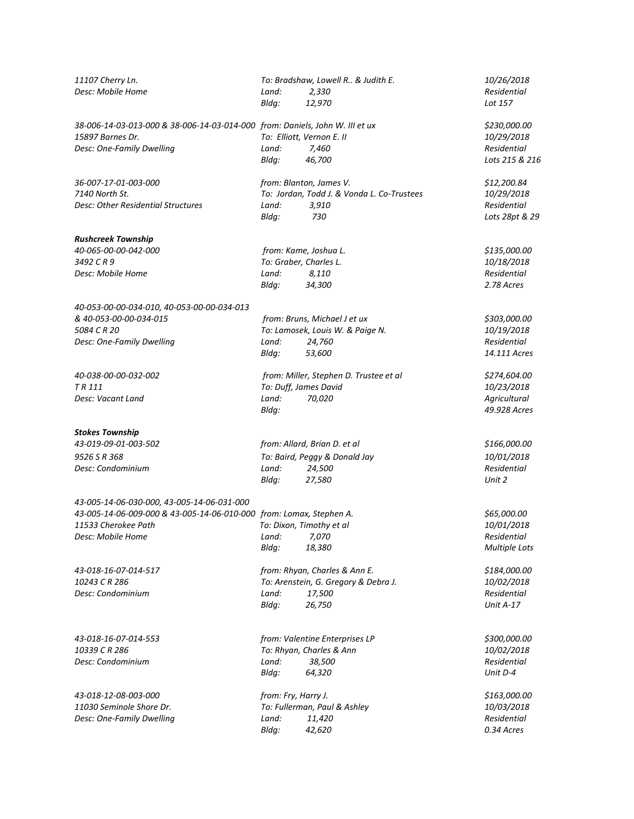| 11107 Cherry Ln.<br>Desc: Mobile Home                                        | Land:<br>Bldg: | To: Bradshaw, Lowell R & Judith E.<br>2,330<br>12,970 | 10/26/2018<br>Residential<br>Lot 157 |
|------------------------------------------------------------------------------|----------------|-------------------------------------------------------|--------------------------------------|
| 38-006-14-03-013-000 & 38-006-14-03-014-000 from: Daniels, John W. III et ux |                |                                                       | \$230,000.00                         |
| 15897 Barnes Dr.                                                             |                | To: Elliott, Vernon E. II                             | 10/29/2018                           |
| Desc: One-Family Dwelling                                                    | Land:          | 7,460                                                 | Residential                          |
|                                                                              | Bldg:          | 46,700                                                | Lots 215 & 216                       |
| 36-007-17-01-003-000                                                         |                | from: Blanton, James V.                               | \$12,200.84                          |
| 7140 North St.                                                               |                | To: Jordan, Todd J. & Vonda L. Co-Trustees            | 10/29/2018                           |
| Desc: Other Residential Structures                                           | Land:<br>Bldg: | 3,910<br>730                                          | Residential<br>Lots 28pt & 29        |
| <b>Rushcreek Township</b>                                                    |                |                                                       |                                      |
| 40-065-00-00-042-000                                                         |                | from: Kame, Joshua L.                                 | \$135,000.00                         |
| 3492 CR9                                                                     |                | To: Graber, Charles L.                                | 10/18/2018                           |
| Desc: Mobile Home                                                            | Land:          | 8,110                                                 | Residential                          |
|                                                                              | Bldg:          | 34,300                                                | 2.78 Acres                           |
| 40-053-00-00-034-010, 40-053-00-00-034-013                                   |                |                                                       |                                      |
| & 40-053-00-00-034-015                                                       |                | from: Bruns, Michael J et ux                          | \$303,000.00                         |
| 5084 C R 20                                                                  |                | To: Lamosek, Louis W. & Paige N.                      | 10/19/2018                           |
| Desc: One-Family Dwelling                                                    | Land:          | 24,760                                                | Residential                          |
|                                                                              | Bldg:          | 53,600                                                | 14.111 Acres                         |
| 40-038-00-00-032-002                                                         |                | from: Miller, Stephen D. Trustee et al                | \$274,604.00                         |
| TR 111                                                                       |                | To: Duff, James David                                 | 10/23/2018                           |
| Desc: Vacant Land                                                            | Land:<br>Bldg: | 70,020                                                | Agricultural<br>49.928 Acres         |
| <b>Stokes Township</b>                                                       |                |                                                       |                                      |
| 43-019-09-01-003-502                                                         |                | from: Allard, Brian D. et al                          | \$166,000.00                         |
| 9526 S R 368                                                                 |                | To: Baird, Peggy & Donald Jay                         | 10/01/2018                           |
| Desc: Condominium                                                            | Land:          | 24,500                                                | Residential                          |
|                                                                              | Bldg:          | 27,580                                                | Unit 2                               |
| 43-005-14-06-030-000, 43-005-14-06-031-000                                   |                |                                                       |                                      |
| 43-005-14-06-009-000 & 43-005-14-06-010-000 from: Lomax, Stephen A.          |                |                                                       | \$65,000.00                          |
| 11533 Cherokee Path                                                          |                | To: Dixon, Timothy et al                              | 10/01/2018                           |
| Desc: Mobile Home                                                            | Land:          | 7,070                                                 | Residential                          |
|                                                                              | Bldg:          | 18,380                                                | Multiple Lots                        |
| 43-018-16-07-014-517                                                         |                | from: Rhyan, Charles & Ann E.                         | \$184,000.00                         |
| 10243 CR 286                                                                 |                | To: Arenstein, G. Gregory & Debra J.                  | 10/02/2018                           |
| Desc: Condominium                                                            | Land:          | 17,500                                                | Residential                          |
|                                                                              | Bldg:          | 26,750                                                | Unit A-17                            |
| 43-018-16-07-014-553                                                         |                | from: Valentine Enterprises LP                        | \$300,000.00                         |
| 10339 C R 286                                                                |                | To: Rhyan, Charles & Ann                              | 10/02/2018                           |
| Desc: Condominium                                                            | Land:          | 38,500                                                | Residential                          |
|                                                                              | Bldg:          | 64,320                                                | Unit D-4                             |
| 43-018-12-08-003-000                                                         |                | from: Fry, Harry J.                                   | \$163,000.00                         |
| 11030 Seminole Shore Dr.                                                     |                | To: Fullerman, Paul & Ashley                          | 10/03/2018                           |
| Desc: One-Family Dwelling                                                    | Land:          | 11,420                                                | Residential                          |
|                                                                              | Bldg:          |                                                       | 0.34 Acres                           |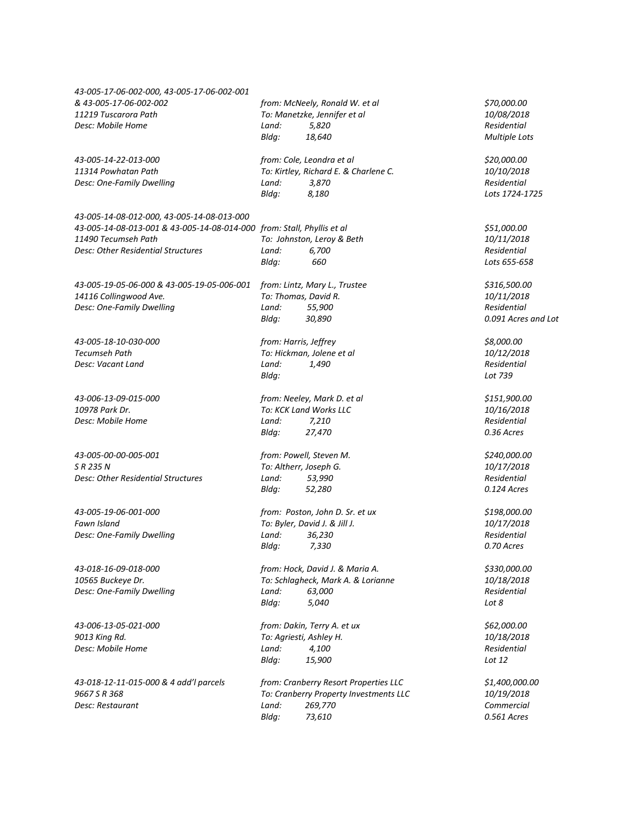| 43-005-17-06-002-000, 43-005-17-06-002-001                             |                       |                                        |                      |  |
|------------------------------------------------------------------------|-----------------------|----------------------------------------|----------------------|--|
| & 43-005-17-06-002-002                                                 |                       | from: McNeely, Ronald W. et al         | \$70,000.00          |  |
| 11219 Tuscarora Path                                                   |                       | To: Manetzke, Jennifer et al           | 10/08/2018           |  |
| Desc: Mobile Home                                                      | Land:                 | 5,820                                  | Residential          |  |
|                                                                        | Bldg:                 | 18,640                                 | <b>Multiple Lots</b> |  |
| 43-005-14-22-013-000                                                   |                       | from: Cole, Leondra et al              | \$20,000.00          |  |
| 11314 Powhatan Path                                                    |                       | To: Kirtley, Richard E. & Charlene C.  | 10/10/2018           |  |
| Desc: One-Family Dwelling                                              | Land:                 | 3,870                                  | Residential          |  |
|                                                                        | Bldg:                 | 8,180                                  | Lots 1724-1725       |  |
| 43-005-14-08-012-000, 43-005-14-08-013-000                             |                       |                                        |                      |  |
| 43-005-14-08-013-001 & 43-005-14-08-014-000 from: Stall, Phyllis et al |                       |                                        | \$51,000.00          |  |
| 11490 Tecumseh Path                                                    |                       | To: Johnston, Leroy & Beth             | 10/11/2018           |  |
| Desc: Other Residential Structures                                     | Land:                 | 6,700                                  | Residential          |  |
|                                                                        | Bldg:                 | 660                                    | Lots 655-658         |  |
| 43-005-19-05-06-000 & 43-005-19-05-006-001                             |                       | from: Lintz, Mary L., Trustee          | \$316,500.00         |  |
| 14116 Collingwood Ave.                                                 |                       | To: Thomas, David R.                   | 10/11/2018           |  |
| Desc: One-Family Dwelling                                              | Land:                 | 55,900                                 | <b>Residential</b>   |  |
|                                                                        | Bldg:                 | 30,890                                 | 0.091 Acres and Lot  |  |
| 43-005-18-10-030-000                                                   | from: Harris, Jeffrey |                                        | \$8,000.00           |  |
| <b>Tecumseh Path</b>                                                   |                       | To: Hickman, Jolene et al              | 10/12/2018           |  |
| Desc: Vacant Land                                                      | Land:                 | 1,490                                  | Residential          |  |
|                                                                        | Bldg:                 |                                        | Lot 739              |  |
| 43-006-13-09-015-000                                                   |                       | from: Neeley, Mark D. et al            | \$151,900.00         |  |
| 10978 Park Dr.                                                         |                       | To: KCK Land Works LLC                 | 10/16/2018           |  |
| Desc: Mobile Home                                                      | Land:                 | 7,210                                  | Residential          |  |
|                                                                        | Bldg:                 | 27,470                                 | 0.36 Acres           |  |
| 43-005-00-00-005-001                                                   |                       | from: Powell, Steven M.                | \$240,000.00         |  |
| S R 235 N                                                              |                       | To: Altherr, Joseph G.                 | 10/17/2018           |  |
| Desc: Other Residential Structures                                     | Land:                 | 53,990                                 | Residential          |  |
|                                                                        | Bldg:                 | 52,280                                 | 0.124 Acres          |  |
| 43-005-19-06-001-000                                                   |                       | from: Poston, John D. Sr. et ux        | \$198,000.00         |  |
| Fawn Island                                                            |                       | To: Byler, David J. & Jill J.          | 10/17/2018           |  |
| Desc: One-Family Dwelling                                              | Land:                 | 36,230                                 | Residential          |  |
|                                                                        | Bldg:                 | 7,330                                  | 0.70 Acres           |  |
| 43-018-16-09-018-000                                                   |                       | from: Hock, David J. & Maria A.        | \$330,000.00         |  |
| 10565 Buckeye Dr.                                                      |                       | To: Schlagheck, Mark A. & Lorianne     | 10/18/2018           |  |
| Desc: One-Family Dwelling                                              | Land:                 | 63,000                                 | Residential          |  |
|                                                                        | Bldg:                 | 5,040                                  | Lot 8                |  |
| 43-006-13-05-021-000                                                   |                       | from: Dakin, Terry A. et ux            | \$62,000.00          |  |
| 9013 King Rd.                                                          |                       | To: Agriesti, Ashley H.                | 10/18/2018           |  |
| Desc: Mobile Home                                                      | Land:                 | 4,100                                  | Residential          |  |
|                                                                        | Bldg:                 | 15,900                                 | Lot 12               |  |
| 43-018-12-11-015-000 & 4 add'l parcels                                 |                       | from: Cranberry Resort Properties LLC  | \$1,400,000.00       |  |
| 9667 S R 368                                                           |                       | To: Cranberry Property Investments LLC | 10/19/2018           |  |
| Desc: Restaurant                                                       | Land:                 | 269,770                                | Commercial           |  |
|                                                                        | Bldg:                 | 73,610                                 | 0.561 Acres          |  |
|                                                                        |                       |                                        |                      |  |
|                                                                        |                       |                                        |                      |  |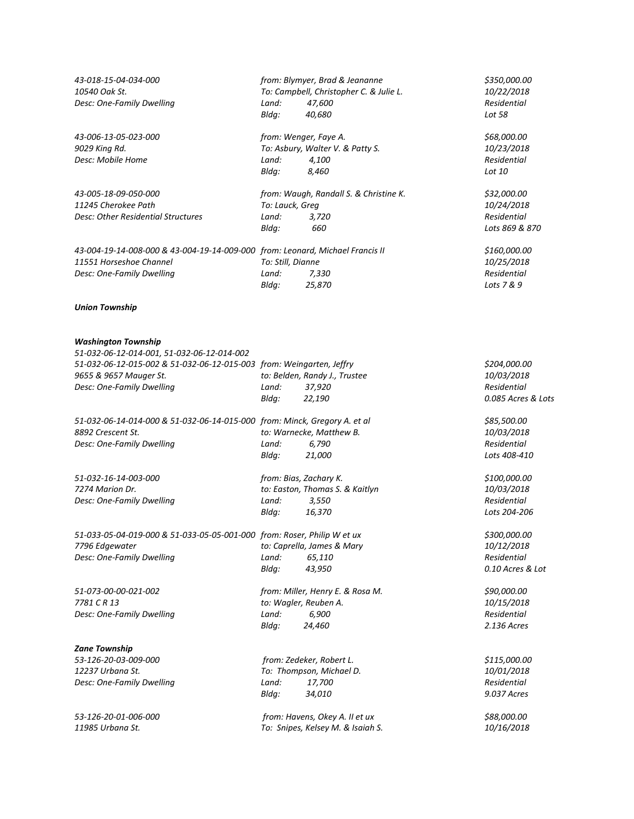| 43-018-15-04-034-000                                                                                     |                            | from: Blymyer, Brad & Jeananne          | \$350,000.00              |
|----------------------------------------------------------------------------------------------------------|----------------------------|-----------------------------------------|---------------------------|
| 10540 Oak St.                                                                                            |                            | To: Campbell, Christopher C. & Julie L. | 10/22/2018                |
| Desc: One-Family Dwelling                                                                                | Land:                      | 47,600                                  | Residential               |
|                                                                                                          | Bldg:                      | 40,680                                  | Lot 58                    |
| 43-006-13-05-023-000                                                                                     | from: Wenger, Faye A.      |                                         | \$68,000.00               |
| 9029 King Rd.                                                                                            |                            | To: Asbury, Walter V. & Patty S.        | 10/23/2018                |
| Desc: Mobile Home                                                                                        | Land:                      | 4,100                                   | Residential               |
|                                                                                                          | Bldg:                      | 8,460                                   | Lot 10                    |
|                                                                                                          |                            |                                         |                           |
| 43-005-18-09-050-000                                                                                     |                            | from: Waugh, Randall S. & Christine K.  | \$32,000.00               |
| 11245 Cherokee Path                                                                                      | To: Lauck, Greg            |                                         | 10/24/2018                |
| Desc: Other Residential Structures                                                                       | Land:                      | 3,720                                   | Residential               |
|                                                                                                          | Bldg:                      | 660                                     | Lots 869 & 870            |
|                                                                                                          |                            |                                         |                           |
| 43-004-19-14-008-000 & 43-004-19-14-009-000 from: Leonard, Michael Francis II<br>11551 Horseshoe Channel |                            |                                         | \$160,000.00              |
|                                                                                                          | To: Still, Dianne<br>Land: | 7,330                                   | 10/25/2018<br>Residential |
| Desc: One-Family Dwelling                                                                                |                            |                                         | Lots 7 & 9                |
|                                                                                                          | Bldg:                      | 25,870                                  |                           |
| <b>Union Township</b>                                                                                    |                            |                                         |                           |
| <b>Washington Township</b>                                                                               |                            |                                         |                           |
| 51-032-06-12-014-001, 51-032-06-12-014-002                                                               |                            |                                         |                           |
| 51-032-06-12-015-002 & 51-032-06-12-015-003 from: Weingarten, Jeffry                                     |                            |                                         | \$204,000.00              |
| 9655 & 9657 Mauger St.                                                                                   |                            | to: Belden, Randy J., Trustee           | 10/03/2018                |
| Desc: One-Family Dwelling                                                                                | Land:                      | 37,920                                  | Residential               |
|                                                                                                          | Bldg:                      | 22,190                                  | 0.085 Acres & Lots        |
| 51-032-06-14-014-000 & 51-032-06-14-015-000 from: Minck, Gregory A. et al                                |                            |                                         | \$85,500.00               |
| 8892 Crescent St.                                                                                        |                            | to: Warnecke, Matthew B.                | 10/03/2018                |
| Desc: One-Family Dwelling                                                                                | Land:                      | 6,790                                   | Residential               |
|                                                                                                          | Bldg:                      | 21,000                                  | Lots 408-410              |
|                                                                                                          |                            |                                         |                           |
| 51-032-16-14-003-000                                                                                     | from: Bias, Zachary K.     |                                         | \$100,000.00              |
| 7274 Marion Dr.                                                                                          |                            | to: Easton, Thomas S. & Kaitlyn         | 10/03/2018                |
| Desc: One-Family Dwelling                                                                                | Land:                      | 3,550                                   | Residential               |
|                                                                                                          | Bldg:                      | 16,370                                  | Lots 204-206              |
|                                                                                                          |                            |                                         |                           |
| 51-033-05-04-019-000 & 51-033-05-05-001-000 from: Roser, Philip W et ux                                  |                            |                                         | \$300,000.00              |
| 7796 Edgewater                                                                                           |                            | to: Caprella, James & Mary              | 10/12/2018                |
| Desc: One-Family Dwelling                                                                                | Land:                      | 65,110                                  | Residential               |
|                                                                                                          | Bldg:                      | 43,950                                  | 0.10 Acres & Lot          |
| 51-073-00-00-021-002                                                                                     |                            | from: Miller, Henry E. & Rosa M.        | \$90,000.00               |
| 7781 C R 13                                                                                              | to: Wagler, Reuben A.      |                                         | 10/15/2018                |
| Desc: One-Family Dwelling                                                                                | Land:                      | 6,900                                   | Residential               |
|                                                                                                          | Bldg:                      | 24,460                                  | 2.136 Acres               |
|                                                                                                          |                            |                                         |                           |
| <b>Zane Township</b>                                                                                     |                            |                                         |                           |
| 53-126-20-03-009-000<br>12237 Urbana St.                                                                 |                            | from: Zedeker, Robert L.                | \$115,000.00              |
| Desc: One-Family Dwelling                                                                                | Land:                      | To: Thompson, Michael D.<br>17,700      | 10/01/2018<br>Residential |
|                                                                                                          | Bldg:                      | 34,010                                  | 9.037 Acres               |
|                                                                                                          |                            |                                         |                           |
| 53-126-20-01-006-000                                                                                     |                            | from: Havens, Okey A. II et ux          | \$88,000.00               |
| 11985 Urbana St.                                                                                         |                            | To: Snipes, Kelsey M. & Isaiah S.       | 10/16/2018                |
|                                                                                                          |                            |                                         |                           |
|                                                                                                          |                            |                                         |                           |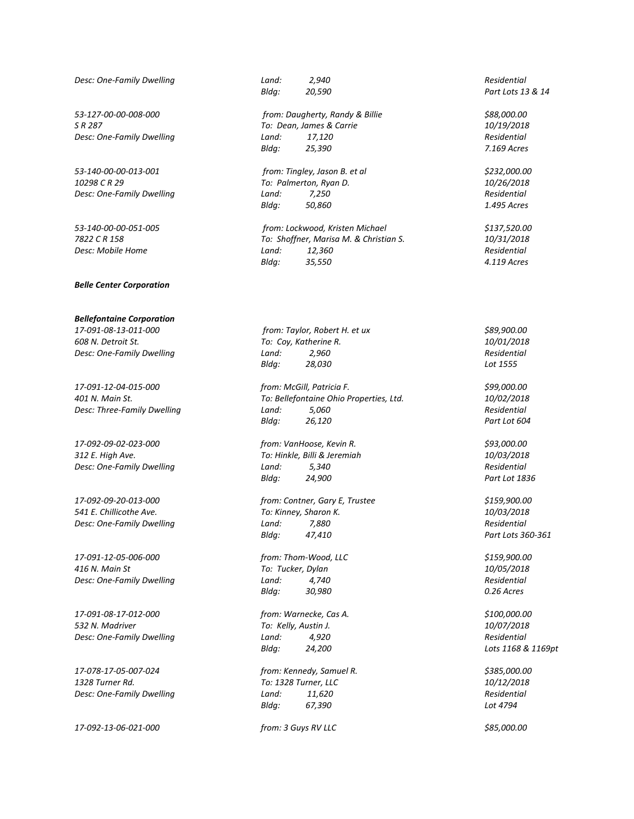*Desc: One-Family Dwelling Land: 2,940 Residential*

*53-127-00-00-008-000 from: Daugherty, Randy & Billie \$88,000.00*

*53-140-00-00-013-001 from: Tingley, Jason B. et al \$232,000.00*

*Belle Center Corporation*

*Bellefontaine Corporation 17-091-08-13-011-000 from: Taylor, Robert H. et ux \$89,900.00*

*17-092-09-02-023-000 from: VanHoose, Kevin R. \$93,000.00 312 E. High Ave. To: Hinkle, Billi & Jeremiah 10/03/2018 Desc: One-Family Dwelling Land: 5,340 Residential*

*17-091-12-05-006-000 from: Thom-Wood, LLC \$159,900.00 416 N. Main St To: Tucker, Dylan 10/05/2018 Desc: One-Family Dwelling Land: 4,740 Residential*

*17-091-08-17-012-000 from: Warnecke, Cas A. \$100,000.00 532 N. Madriver To: Kelly, Austin J. 10/07/2018 Desc: One-Family Dwelling Land: 4,920 Residential*

*17-078-17-05-007-024 from: Kennedy, Samuel R. \$385,000.00 1328 Turner Rd. To: 1328 Turner, LLC 10/12/2018*

*17-092-13-06-021-000 from: 3 Guys RV LLC \$85,000.00*

*S R 287 To: Dean, James & Carrie 10/19/2018 Desc: One-Family Dwelling Land: 17,120 Residential Bldg: 25,390 7.169 Acres*

*10298 C R 29 To: Palmerton, Ryan D. 10/26/2018 Desc: One-Family Dwelling Land: 7,250 Residential Bldg: 50,860 1.495 Acres*

*53-140-00-00-051-005 from: Lockwood, Kristen Michael \$137,520.00 7822 C R 158 To: Shoffner, Marisa M. & Christian S. 10/31/2018 Desc: Mobile Home Land: 12,360 Residential Bldg: 35,550 4.119 Acres*

*608 N. Detroit St. To: Coy, Katherine R. 10/01/2018 Desc: One-Family Dwelling Land: 2,960 Residential Bldg: 28,030 Lot 1555*

*17-091-12-04-015-000 from: McGill, Patricia F. \$99,000.00 401 N. Main St. To: Bellefontaine Ohio Properties, Ltd. 10/02/2018 Desc: Three-Family Dwelling Land: 5,060 Residential Bldg: 26,120 Part Lot 604*

*Bldg: 24,900 Part Lot 1836*

*17-092-09-20-013-000 from: Contner, Gary E, Trustee \$159,900.00 541 E. Chillicothe Ave. To: Kinney, Sharon K. 10/03/2018 Desc: One-Family Dwelling Land: 7,880 Residential Bldg: 47,410 Part Lots 360-361*

*Bldg: 30,980 0.26 Acres*

*Bldg: 24,200 Lots 1168 & 1169pt*

*Desc: One-Family Dwelling Land: 11,620 Residential Bldg: 67,390 Lot 4794*

*Bldg: 20,590 Part Lots 13 & 14*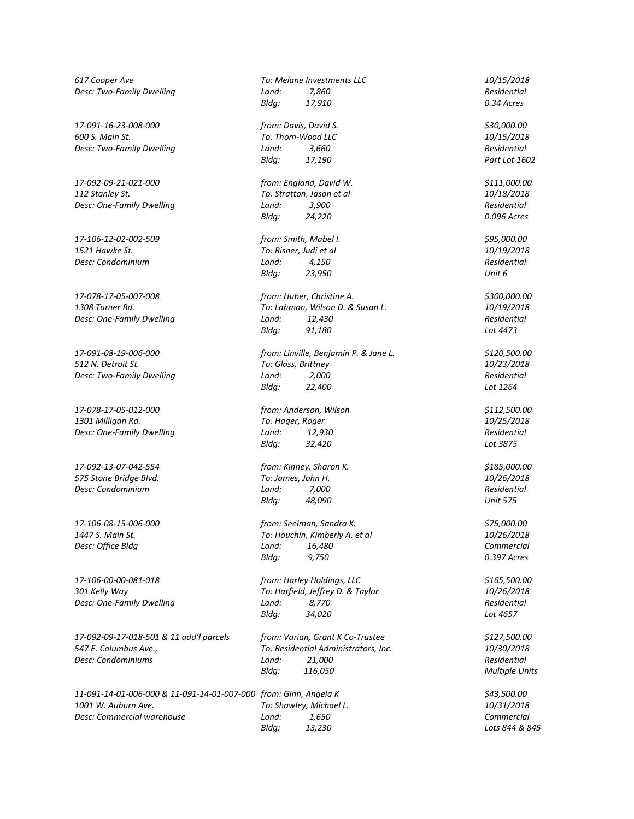*617 Cooper Ave To: Melane Investments LLC 10/15/2018 Desc: Two-Family Dwelling Land: 7,860 Residential*

*600 S. Main St. To: Thom-Wood LLC 10/15/2018*

*112 Stanley St. To: Stratton, Jason et al 10/18/2018 Desc: One-Family Dwelling Land: 3,900 Residential*

*17-106-12-02-002-509 from: Smith, Mabel I. \$95,000.00 1521 Hawke St. To: Risner, Judi et al 10/19/2018 Desc: Condominium Land: 4,150 Residential*

*Desc: Two-Family Dwelling Land:* 2,000

*17-078-17-05-012-000 from: Anderson, Wilson \$112,500.00 1301 Milligan Rd. To: Hager, Roger 10/25/2018*

*17-092-13-07-042-554 from: Kinney, Sharon K. \$185,000.00 575 Stone Bridge Blvd. To: James, John H. 10/26/2018 Desc: Condominium Land: 7,000 Residential*

*17-092-09-17-018-501 & 11 add'l parcels from: Varian, Grant K Co-Trustee \$127,500.00 547 E. Columbus Ave., To: Residential Administrators, Inc. 10/30/2018 Desc: Condominiums Land: 21,000 Residential*

*11-091-14-01-006-000 & 11-091-14-01-007-000 from: Ginn, Angela K \$43,500.00 1001 W. Auburn Ave. To: Shawley, Michael L. 10/31/2018 Desc: Commercial warehouse Land: 1,650 Commercial*

*Bldg: 17,910 0.34 Acres 17-091-16-23-008-000 from: Davis, David S. \$30,000.00 Desc: Two-Family Dwelling Land: 3,660 Residential Bldg: 17,190 Part Lot 1602*

*17-092-09-21-021-000 from: England, David W. \$111,000.00 Bldg: 24,220 0.096 Acres*

*Bldg: 23,950 Unit 6*

*17-078-17-05-007-008 from: Huber, Christine A. \$300,000.00 1308 Turner Rd. To: Lahman, Wilson D. & Susan L. 10/19/2018 Desc: One-Family Dwelling Land: 12,430 Residential Bldg: 91,180 Lot 4473*

*17-091-08-19-006-000 from: Linville, Benjamin P. & Jane L. \$120,500.00 512 N. Detroit St. To: Glass, Brittney 10/23/2018 Bldg: 22,400 Lot 1264*

*Desc: One-Family Dwelling Land: 12,930 Residential Bldg: 32,420 Lot 3875*

*Bldg: 48,090 Unit 575*

*17-106-08-15-006-000 from: Seelman, Sandra K. \$75,000.00 1447 S. Main St. To: Houchin, Kimberly A. et al 10/26/2018 Desc: Office Bldg Land: 16,480 Commercial Bldg: 9,750 0.397 Acres*

*17-106-00-00-081-018 from: Harley Holdings, LLC \$165,500.00 301 Kelly Way To: Hatfield, Jeffrey D. & Taylor 10/26/2018 Desc: One-Family Dwelling Land: 8,770 Residential Bldg: 34,020 Lot 4657*

*Bldg: 116,050 Multiple Units*

*Bldg: 13,230 Lots 844 & 845*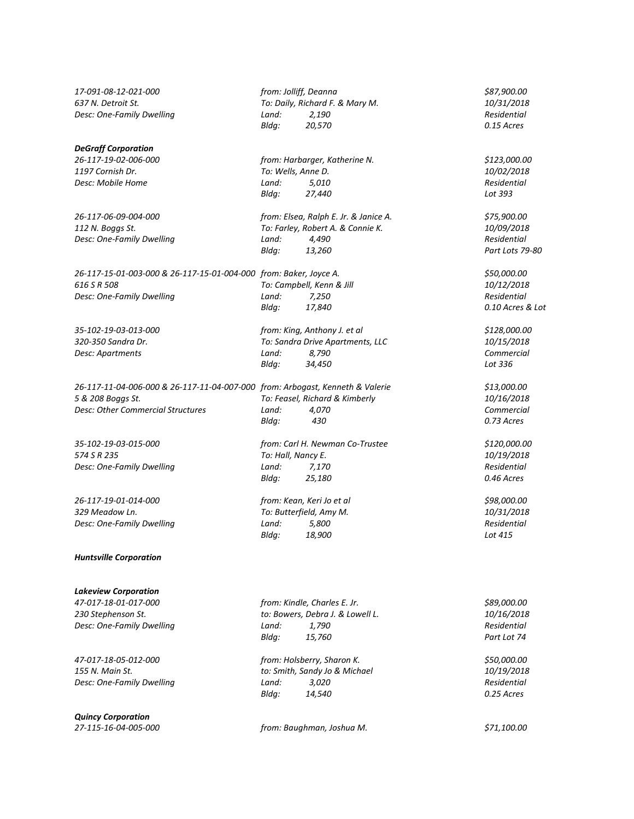*17-091-08-12-021-000 from: Jolliff, Deanna \$87,900.00*

## *DeGraff Corporation*

*26-117-15-01-003-000 & 26-117-15-01-004-000 from: Baker, Joyce A. \$50,000.00 616 S R 508 To: Campbell, Kenn & Jill 10/12/2018 Desc: One-Family Dwelling Land: 7,250 Residential*

*26-117-11-04-006-000 & 26-117-11-04-007-000 from: Arbogast, Kenneth & Valerie \$13,000.00 5 & 208 Boggs St. To: Feasel, Richard & Kimberly 10/16/2018*

*26-117-19-01-014-000 from: Kean, Keri Jo et al \$98,000.00 329 Meadow Ln. To: Butterfield, Amy M. 10/31/2018 Desc: One-Family Dwelling Land: 5,800 Residential*

*Huntsville Corporation*

*Lakeview Corporation 47-017-18-01-017-000 from: Kindle, Charles E. Jr. \$89,000.00*

*Quincy Corporation*

*637 N. Detroit St. To: Daily, Richard F. & Mary M. 10/31/2018 Desc: One-Family Dwelling Land: 2,190 Residential Bldg: 20,570 0.15 Acres*

*26-117-19-02-006-000 from: Harbarger, Katherine N. \$123,000.00 1197 Cornish Dr. To: Wells, Anne D. 10/02/2018 Desc: Mobile Home Land: 5,010 Residential Bldg: 27,440 Lot 393*

*26-117-06-09-004-000 from: Elsea, Ralph E. Jr. & Janice A. \$75,900.00 112 N. Boggs St. To: Farley, Robert A. & Connie K. 10/09/2018 Desc: One-Family Dwelling Land: 4,490 Residential Bldg: 13,260 Part Lots 79-80*

*Bldg: 17,840 0.10 Acres & Lot*

*35-102-19-03-013-000 from: King, Anthony J. et al \$128,000.00 320-350 Sandra Dr. To: Sandra Drive Apartments, LLC 10/15/2018 Desc: Apartments Land: 8,790 Commercial Bldg: 34,450 Lot 336*

*Desc: Other Commercial Structures Land: 4,070 Commercial Bldg: 430 0.73 Acres*

*35-102-19-03-015-000 from: Carl H. Newman Co-Trustee \$120,000.00 574 S R 235 To: Hall, Nancy E. 10/19/2018 Desc: One-Family Dwelling Land: 7,170 Residential Bldg: 25,180 0.46 Acres*

*Bldg: 18,900 Lot 415*

*230 Stephenson St. to: Bowers, Debra J. & Lowell L. 10/16/2018 Desc: One-Family Dwelling Land: 1,790 Residential Bldg: 15,760 Part Lot 74*

*47-017-18-05-012-000 from: Holsberry, Sharon K. \$50,000.00 155 N. Main St. to: Smith, Sandy Jo & Michael 10/19/2018 Desc: One-Family Dwelling Land: 3,020 Residential Bldg: 14,540 0.25 Acres*

*27-115-16-04-005-000 from: Baughman, Joshua M. \$71,100.00*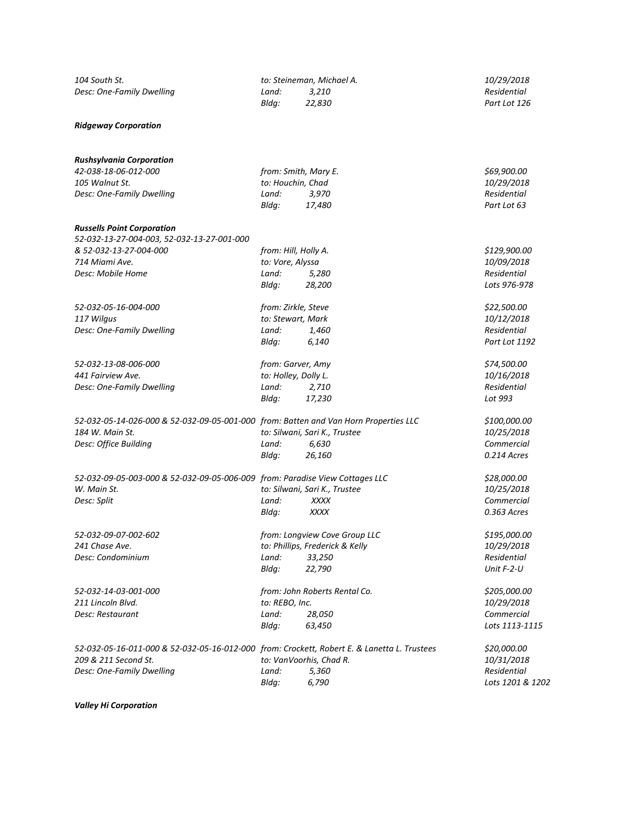| 104 South St.                                                                               |                      | to: Steineman, Michael A.       | 10/29/2018       |  |  |
|---------------------------------------------------------------------------------------------|----------------------|---------------------------------|------------------|--|--|
| Desc: One-Family Dwelling                                                                   | Land:                | 3,210                           | Residential      |  |  |
|                                                                                             | Bldg:                | 22,830                          | Part Lot 126     |  |  |
| <b>Ridgeway Corporation</b>                                                                 |                      |                                 |                  |  |  |
| <b>Rushsylvania Corporation</b>                                                             |                      |                                 |                  |  |  |
| 42-038-18-06-012-000                                                                        | from: Smith, Mary E. |                                 | \$69,900.00      |  |  |
| 105 Walnut St.                                                                              | to: Houchin, Chad    |                                 | 10/29/2018       |  |  |
| Desc: One-Family Dwelling                                                                   | Land:                | 3,970                           | Residential      |  |  |
|                                                                                             | Bldg:                | 17,480                          | Part Lot 63      |  |  |
| <b>Russells Point Corporation</b><br>52-032-13-27-004-003, 52-032-13-27-001-000             |                      |                                 |                  |  |  |
| & 52-032-13-27-004-000                                                                      | from: Hill, Holly A. |                                 | \$129,900.00     |  |  |
| 714 Miami Ave.                                                                              | to: Vore, Alyssa     |                                 | 10/09/2018       |  |  |
| Desc: Mobile Home                                                                           | Land:                | 5,280                           | Residential      |  |  |
|                                                                                             | Bldg:                | 28,200                          | Lots 976-978     |  |  |
|                                                                                             |                      |                                 |                  |  |  |
| 52-032-05-16-004-000                                                                        | from: Zirkle, Steve  |                                 | \$22,500.00      |  |  |
| 117 Wilgus                                                                                  | to: Stewart, Mark    |                                 | 10/12/2018       |  |  |
| Desc: One-Family Dwelling                                                                   | Land:                | 1,460                           | Residential      |  |  |
|                                                                                             | Bldg:                | 6,140                           | Part Lot 1192    |  |  |
| 52-032-13-08-006-000                                                                        | from: Garver, Amy    |                                 | \$74,500.00      |  |  |
| 441 Fairview Ave.                                                                           | to: Holley, Dolly L. |                                 | 10/16/2018       |  |  |
| Desc: One-Family Dwelling                                                                   | Land:                | 2,710                           | Residential      |  |  |
|                                                                                             | Bldg:                | 17,230                          | Lot 993          |  |  |
| 52-032-05-14-026-000 & 52-032-09-05-001-000 from: Batten and Van Horn Properties LLC        |                      |                                 | \$100,000.00     |  |  |
| 184 W. Main St.                                                                             |                      | to: Silwani, Sari K., Trustee   | 10/25/2018       |  |  |
| Desc: Office Building                                                                       | Land:                | 6,630                           | Commercial       |  |  |
|                                                                                             | Bldg:                | 26,160                          | 0.214 Acres      |  |  |
| 52-032-09-05-003-000 & 52-032-09-05-006-009 from: Paradise View Cottages LLC                |                      |                                 | \$28,000.00      |  |  |
| W. Main St.                                                                                 |                      | to: Silwani, Sari K., Trustee   | 10/25/2018       |  |  |
| Desc: Split                                                                                 | Land:                | <b>XXXX</b>                     | Commercial       |  |  |
|                                                                                             | Bldg:                | XXXX                            | 0.363 Acres      |  |  |
| 52-032-09-07-002-602                                                                        |                      | from: Longview Cove Group LLC   | \$195,000.00     |  |  |
| 241 Chase Ave.                                                                              |                      | to: Phillips, Frederick & Kelly | 10/29/2018       |  |  |
| Desc: Condominium                                                                           | Land:                | 33,250                          | Residential      |  |  |
|                                                                                             | Bldg:                | 22,790                          | Unit $F-2-U$     |  |  |
| 52-032-14-03-001-000                                                                        |                      | from: John Roberts Rental Co.   | \$205,000.00     |  |  |
| 211 Lincoln Blvd.                                                                           | to: REBO, Inc.       |                                 | 10/29/2018       |  |  |
| Desc: Restaurant                                                                            | Land:                | 28,050                          | Commercial       |  |  |
|                                                                                             | Bldg:                | 63,450                          | Lots 1113-1115   |  |  |
| 52-032-05-16-011-000 & 52-032-05-16-012-000 from: Crockett, Robert E. & Lanetta L. Trustees |                      |                                 | \$20,000.00      |  |  |
| 209 & 211 Second St.                                                                        |                      | to: VanVoorhis, Chad R.         | 10/31/2018       |  |  |
| Desc: One-Family Dwelling                                                                   | Land:                | 5,360                           | Residential      |  |  |
|                                                                                             | Bldg:                | 6,790                           | Lots 1201 & 1202 |  |  |
|                                                                                             |                      |                                 |                  |  |  |

*Valley Hi Corporation*